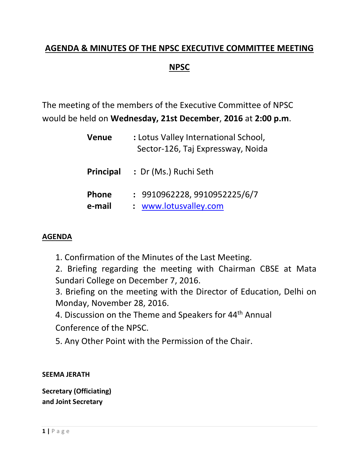# **AGENDA & MINUTES OF THE NPSC EXECUTIVE COMMITTEE MEETING NPSC**

The meeting of the members of the Executive Committee of NPSC would be held on **Wednesday, 21st December**, **2016** at **2:00 p.m**.

| <b>Venue</b>           | : Lotus Valley International School,<br>Sector-126, Taj Expressway, Noida |
|------------------------|---------------------------------------------------------------------------|
| Principal              | : Dr (Ms.) Ruchi Seth                                                     |
| <b>Phone</b><br>e-mail | : 9910962228, 9910952225/6/7<br>: www.lotusvalley.com                     |

### **AGENDA**

1. Confirmation of the Minutes of the Last Meeting.

2. Briefing regarding the meeting with Chairman CBSE at Mata Sundari College on December 7, 2016.

3. Briefing on the meeting with the Director of Education, Delhi on Monday, November 28, 2016.

4. Discussion on the Theme and Speakers for 44<sup>th</sup> Annual

Conference of the NPSC.

5. Any Other Point with the Permission of the Chair.

#### **SEEMA JERATH**

**Secretary (Officiating) and Joint Secretary**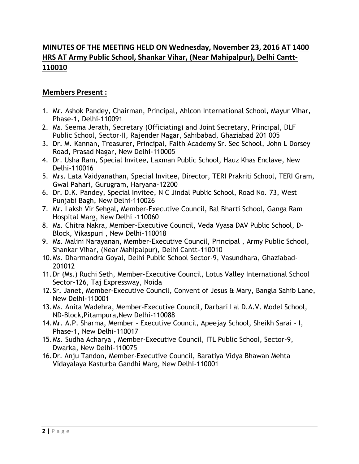## **MINUTES OF THE MEETING HELD ON Wednesday, November 23, 2016 AT 1400 HRS AT Army Public School, Shankar Vihar, (Near Mahipalpur), Delhi Cantt-110010**

#### **Members Present :**

- 1. Mr. Ashok Pandey, Chairman, Principal, Ahlcon International School, Mayur Vihar, Phase-1, Delhi-110091
- 2. Ms. Seema Jerath, Secretary (Officiating) and Joint Secretary, Principal, DLF Public School, Sector-II, Rajender Nagar, Sahibabad, Ghaziabad 201 005
- 3. Dr. M. Kannan**,** Treasurer, Principal, Faith Academy Sr. Sec School, John L Dorsey Road, Prasad Nagar, New Delhi-110005
- 4. Dr. Usha Ram, Special Invitee, Laxman Public School, Hauz Khas Enclave, New Delhi-110016
- 5. Mrs. Lata Vaidyanathan, Special Invitee, Director, TERI Prakriti School, TERI Gram, Gwal Pahari, Gurugram, Haryana-12200
- 6. Dr. D.K. Pandey, Special Invitee, N C Jindal Public School, Road No. 73, West Punjabi Bagh, New Delhi-110026
- 7. Mr. Laksh Vir Sehgal, Member-Executive Council, Bal Bharti School, Ganga Ram Hospital Marg, New Delhi -110060
- 8. Ms. Chitra Nakra, Member-Executive Council, Veda Vyasa DAV Public School, D-Block, Vikaspuri , New Delhi-110018
- 9. Ms. Malini Narayanan, Member-Executive Council, Principal , Army Public School, Shankar Vihar, (Near Mahipalpur), Delhi Cantt-110010
- 10.Ms. Dharmandra Goyal, Delhi Public School Sector-9, Vasundhara, Ghaziabad-201012
- 11.Dr (Ms.) Ruchi Seth, Member-Executive Council, Lotus Valley International School Sector-126, Taj Expressway, Noida
- 12.Sr. Janet, Member-Executive Council, Convent of Jesus & Mary, Bangla Sahib Lane, New Delhi-110001
- 13.Ms. Anita Wadehra, Member-Executive Council, Darbari Lal D.A.V. Model School, ND-Block,Pitampura,New Delhi-110088
- 14.Mr. A.P. Sharma, Member Executive Council, Apeejay School, Sheikh Sarai I, Phase-1, New Delhi-110017
- 15.Ms. Sudha Acharya , Member-Executive Council, ITL Public School, Sector-9, Dwarka, New Delhi-110075
- 16.Dr. Anju Tandon, Member-Executive Council, Baratiya Vidya Bhawan Mehta Vidayalaya Kasturba Gandhi Marg, New Delhi-110001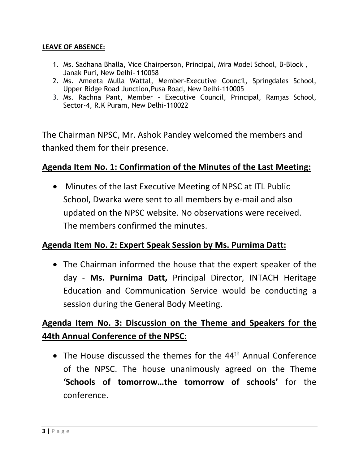#### **LEAVE OF ABSENCE:**

- 1. Ms. Sadhana Bhalla, Vice Chairperson, Principal, Mira Model School, B-Block , Janak Puri, New Delhi- 110058
- 2. Ms. Ameeta Mulla Wattal, Member-Executive Council, Springdales School, Upper Ridge Road Junction,Pusa Road, New Delhi-110005
- 3. Ms. Rachna Pant, Member Executive Council, Principal, Ramjas School, Sector-4, R.K Puram, New Delhi-110022

The Chairman NPSC, Mr. Ashok Pandey welcomed the members and thanked them for their presence.

## **Agenda Item No. 1: Confirmation of the Minutes of the Last Meeting:**

• Minutes of the last Executive Meeting of NPSC at ITL Public School, Dwarka were sent to all members by e-mail and also updated on the NPSC website. No observations were received. The members confirmed the minutes.

### **Agenda Item No. 2: Expert Speak Session by Ms. Purnima Datt:**

 The Chairman informed the house that the expert speaker of the day - **Ms. Purnima Datt,** Principal Director, INTACH Heritage Education and Communication Service would be conducting a session during the General Body Meeting.

# **Agenda Item No. 3: Discussion on the Theme and Speakers for the 44th Annual Conference of the NPSC:**

• The House discussed the themes for the 44<sup>th</sup> Annual Conference of the NPSC. The house unanimously agreed on the Theme **'Schools of tomorrow…the tomorrow of schools'** for the conference.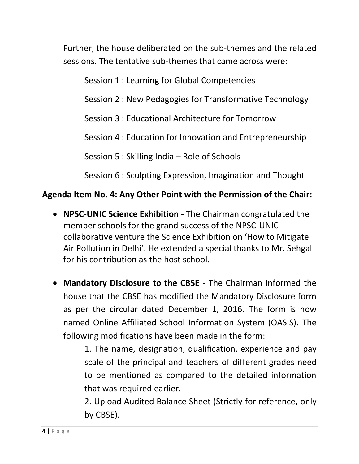Further, the house deliberated on the sub-themes and the related sessions. The tentative sub-themes that came across were:

Session 1 : Learning for Global Competencies

Session 2 : New Pedagogies for Transformative Technology

Session 3 : Educational Architecture for Tomorrow

Session 4 : Education for Innovation and Entrepreneurship

Session 5 : Skilling India – Role of Schools

Session 6 : Sculpting Expression, Imagination and Thought

# **Agenda Item No. 4: Any Other Point with the Permission of the Chair:**

- **NPSC-UNIC Science Exhibition -** The Chairman congratulated the member schools for the grand success of the NPSC-UNIC collaborative venture the Science Exhibition on 'How to Mitigate Air Pollution in Delhi'. He extended a special thanks to Mr. Sehgal for his contribution as the host school.
- **Mandatory Disclosure to the CBSE** The Chairman informed the house that the CBSE has modified the Mandatory Disclosure form as per the circular dated December 1, 2016. The form is now named Online Affiliated School Information System (OASIS). The following modifications have been made in the form:

1. The name, designation, qualification, experience and pay scale of the principal and teachers of different grades need to be mentioned as compared to the detailed information that was required earlier.

2. Upload Audited Balance Sheet (Strictly for reference, only by CBSE).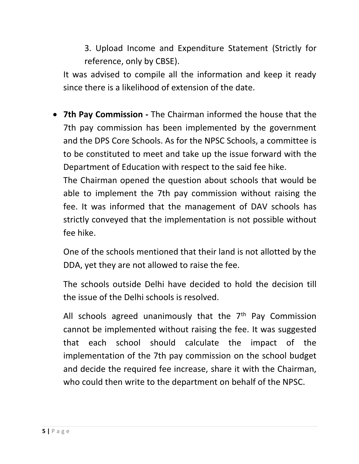3. Upload Income and Expenditure Statement (Strictly for reference, only by CBSE).

It was advised to compile all the information and keep it ready since there is a likelihood of extension of the date.

 **7th Pay Commission -** The Chairman informed the house that the 7th pay commission has been implemented by the government and the DPS Core Schools. As for the NPSC Schools, a committee is to be constituted to meet and take up the issue forward with the Department of Education with respect to the said fee hike.

The Chairman opened the question about schools that would be able to implement the 7th pay commission without raising the fee. It was informed that the management of DAV schools has strictly conveyed that the implementation is not possible without fee hike.

One of the schools mentioned that their land is not allotted by the DDA, yet they are not allowed to raise the fee.

The schools outside Delhi have decided to hold the decision till the issue of the Delhi schools is resolved.

All schools agreed unanimously that the  $7<sup>th</sup>$  Pay Commission cannot be implemented without raising the fee. It was suggested that each school should calculate the impact of the implementation of the 7th pay commission on the school budget and decide the required fee increase, share it with the Chairman, who could then write to the department on behalf of the NPSC.